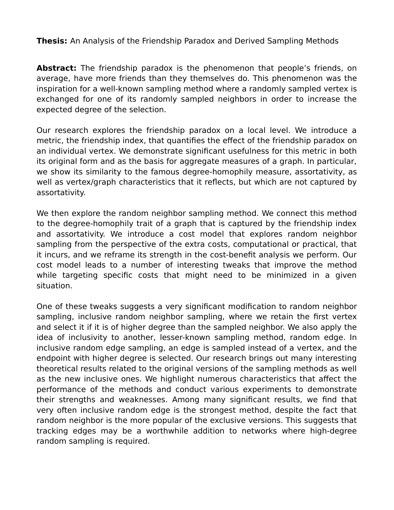**Thesis:** An Analysis of the Friendship Paradox and Derived Sampling Methods

**Abstract:** The friendship paradox is the phenomenon that people's friends, on average, have more friends than they themselves do. This phenomenon was the inspiration for a well-known sampling method where a randomly sampled vertex is exchanged for one of its randomly sampled neighbors in order to increase the expected degree of the selection.

Our research explores the friendship paradox on a local level. We introduce a metric, the friendship index, that quantifies the effect of the friendship paradox on an individual vertex. We demonstrate significant usefulness for this metric in both its original form and as the basis for aggregate measures of a graph. In particular, we show its similarity to the famous degree-homophily measure, assortativity, as well as vertex/graph characteristics that it reflects, but which are not captured by assortativity.

We then explore the random neighbor sampling method. We connect this method to the degree-homophily trait of a graph that is captured by the friendship index and assortativity. We introduce a cost model that explores random neighbor sampling from the perspective of the extra costs, computational or practical, that it incurs, and we reframe its strength in the cost-benefit analysis we perform. Our cost model leads to a number of interesting tweaks that improve the method while targeting specific costs that might need to be minimized in a given situation.

One of these tweaks suggests a very significant modification to random neighbor sampling, inclusive random neighbor sampling, where we retain the first vertex and select it if it is of higher degree than the sampled neighbor. We also apply the idea of inclusivity to another, lesser-known sampling method, random edge. In inclusive random edge sampling, an edge is sampled instead of a vertex, and the endpoint with higher degree is selected. Our research brings out many interesting theoretical results related to the original versions of the sampling methods as well as the new inclusive ones. We highlight numerous characteristics that affect the performance of the methods and conduct various experiments to demonstrate their strengths and weaknesses. Among many significant results, we find that very often inclusive random edge is the strongest method, despite the fact that random neighbor is the more popular of the exclusive versions. This suggests that tracking edges may be a worthwhile addition to networks where high-degree random sampling is required.